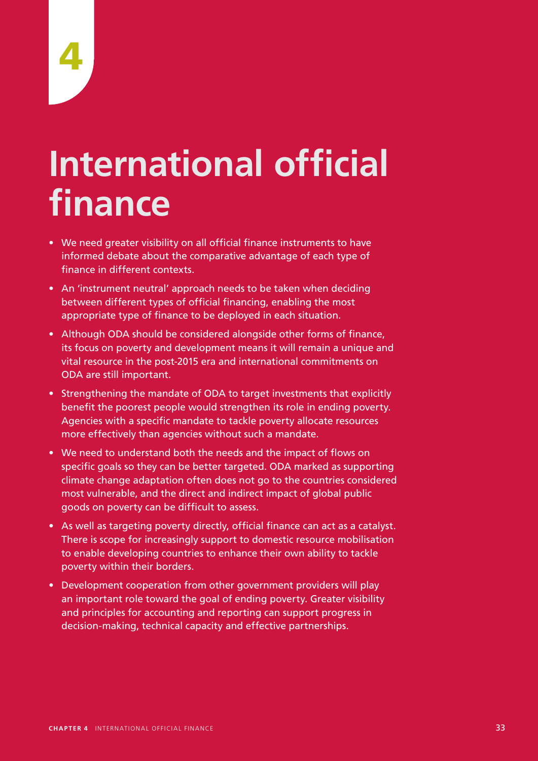# **International official finance**

- We need greater visibility on all official finance instruments to have informed debate about the comparative advantage of each type of finance in different contexts.
- An 'instrument neutral' approach needs to be taken when deciding between different types of official financing, enabling the most appropriate type of finance to be deployed in each situation.
- Although ODA should be considered alongside other forms of finance, its focus on poverty and development means it will remain a unique and vital resource in the post-2015 era and international commitments on ODA are still important.
- Strengthening the mandate of ODA to target investments that explicitly benefit the poorest people would strengthen its role in ending poverty. Agencies with a specific mandate to tackle poverty allocate resources more effectively than agencies without such a mandate.
- We need to understand both the needs and the impact of flows on specific goals so they can be better targeted. ODA marked as supporting climate change adaptation often does not go to the countries considered most vulnerable, and the direct and indirect impact of global public goods on poverty can be difficult to assess.
- As well as targeting poverty directly, official finance can act as a catalyst. There is scope for increasingly support to domestic resource mobilisation to enable developing countries to enhance their own ability to tackle poverty within their borders.
- Development cooperation from other government providers will play an important role toward the goal of ending poverty. Greater visibility and principles for accounting and reporting can support progress in decision-making, technical capacity and effective partnerships.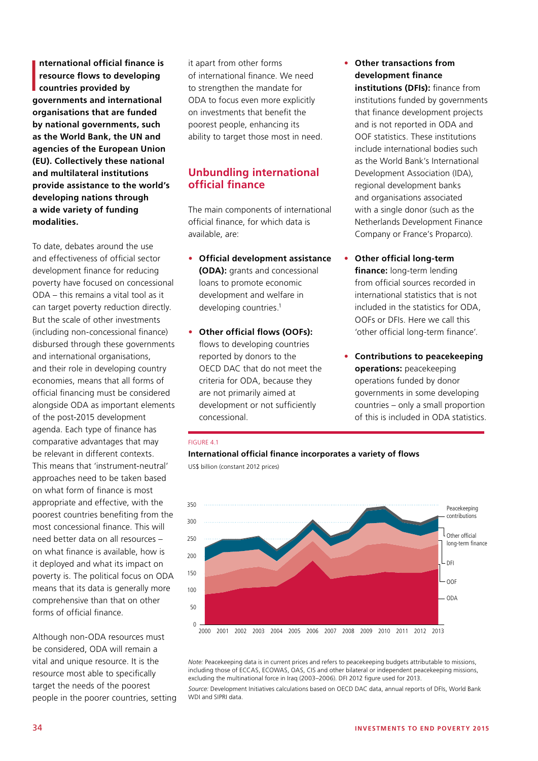$\overline{\phantom{0}}$ **nternational official finance is resource flows to developing countries provided by governments and international organisations that are funded by national governments, such as the World Bank, the UN and agencies of the European Union (EU). Collectively these national and multilateral institutions provide assistance to the world's developing nations through a wide variety of funding modalities.**

To date, debates around the use and effectiveness of official sector development finance for reducing poverty have focused on concessional ODA – this remains a vital tool as it can target poverty reduction directly. But the scale of other investments (including non-concessional finance) disbursed through these governments and international organisations, and their role in developing country economies, means that all forms of official financing must be considered alongside ODA as important elements of the post-2015 development agenda. Each type of finance has comparative advantages that may be relevant in different contexts. This means that 'instrument-neutral' approaches need to be taken based on what form of finance is most appropriate and effective, with the poorest countries benefiting from the most concessional finance. This will need better data on all resources – on what finance is available, how is it deployed and what its impact on poverty is. The political focus on ODA means that its data is generally more comprehensive than that on other forms of official finance.

Although non-ODA resources must be considered, ODA will remain a vital and unique resource. It is the resource most able to specifically target the needs of the poorest people in the poorer countries, setting it apart from other forms of international finance. We need to strengthen the mandate for ODA to focus even more explicitly on investments that benefit the poorest people, enhancing its ability to target those most in need.

# **Unbundling international official finance**

The main components of international official finance, for which data is available, are:

- **Official development assistance (ODA):** grants and concessional loans to promote economic development and welfare in developing countries.<sup>1</sup>
- **Other official flows (OOFs):**  flows to developing countries reported by donors to the OECD DAC that do not meet the criteria for ODA, because they are not primarily aimed at development or not sufficiently concessional.
- **Other transactions from development finance institutions (DFIs):** finance from institutions funded by governments that finance development projects and is not reported in ODA and OOF statistics. These institutions include international bodies such as the World Bank's International Development Association (IDA), regional development banks and organisations associated with a single donor (such as the Netherlands Development Finance Company or France's Proparco).
- **Other official long-term finance:** long-term lending from official sources recorded in international statistics that is not included in the statistics for ODA, OOFs or DFIs. Here we call this 'other official long-term finance'.
- **Contributions to peacekeeping operations:** peacekeeping operations funded by donor governments in some developing countries – only a small proportion of this is included in ODA statistics.

#### FIGURE 4.1

#### **International official finance incorporates a variety of flows**

US\$ billion (constant 2012 prices)



*Note:* Peacekeeping data is in current prices and refers to peacekeeping budgets attributable to missions, including those of ECCAS, ECOWAS, OAS, CIS and other bilateral or independent peacekeeping missions, excluding the multinational force in Iraq (2003–2006). DFI 2012 figure used for 2013.

*Source:* Development Initiatives calculations based on OECD DAC data, annual reports of DFIs, World Bank WDI and SIPRI data.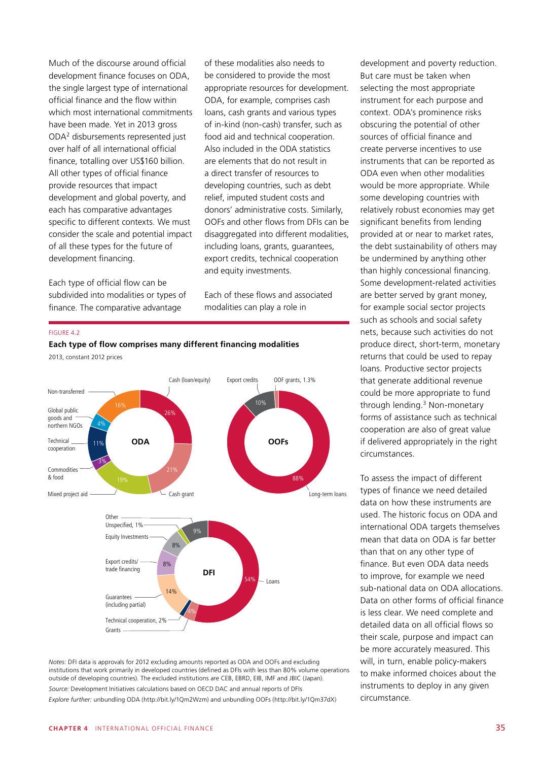Much of the discourse around official development finance focuses on ODA, the single largest type of international official finance and the flow within which most international commitments have been made. Yet in 2013 gross ODA2 disbursements represented just over half of all international official finance, totalling over US\$160 billion. All other types of official finance provide resources that impact development and global poverty, and each has comparative advantages specific to different contexts. We must consider the scale and potential impact of all these types for the future of development financing.

Each type of official flow can be subdivided into modalities or types of finance. The comparative advantage

of these modalities also needs to be considered to provide the most appropriate resources for development. ODA, for example, comprises cash loans, cash grants and various types of in-kind (non-cash) transfer, such as food aid and technical cooperation. Also included in the ODA statistics are elements that do not result in a direct transfer of resources to developing countries, such as debt relief, imputed student costs and donors' administrative costs. Similarly, OOFs and other flows from DFIs can be disaggregated into different modalities. including loans, grants, guarantees, export credits, technical cooperation and equity investments.

Each of these flows and associated modalities can play a role in

#### FIGURE 4.2



2013, constant 2012 prices



*Notes:* DFI data is approvals for 2012 excluding amounts reported as ODA and OOFs and excluding institutions that work primarily in developed countries (defined as DFIs with less than 80% volume operations outside of developing countries). The excluded institutions are CEB, EBRD, EIB, IMF and JBIC (Japan). *Source:* Development Initiatives calculations based on OECD DAC and annual reports of DFIs *Explore further:* unbundling ODA (http://bit.ly/1Qm2Wzm) and unbundling OOFs (http://bit.ly/1Qm37dX)

development and poverty reduction. But care must be taken when selecting the most appropriate instrument for each purpose and context. ODA's prominence risks obscuring the potential of other sources of official finance and create perverse incentives to use instruments that can be reported as ODA even when other modalities would be more appropriate. While some developing countries with relatively robust economies may get significant benefits from lending provided at or near to market rates, the debt sustainability of others may be undermined by anything other than highly concessional financing. Some development-related activities are better served by grant money, for example social sector projects such as schools and social safety nets, because such activities do not produce direct, short-term, monetary returns that could be used to repay loans. Productive sector projects that generate additional revenue could be more appropriate to fund through lending.3 Non-monetary forms of assistance such as technical cooperation are also of great value if delivered appropriately in the right circumstances.

To assess the impact of different types of finance we need detailed data on how these instruments are used. The historic focus on ODA and international ODA targets themselves mean that data on ODA is far better than that on any other type of finance. But even ODA data needs to improve, for example we need sub-national data on ODA allocations. Data on other forms of official finance is less clear. We need complete and detailed data on all official flows so their scale, purpose and impact can be more accurately measured. This will, in turn, enable policy-makers to make informed choices about the instruments to deploy in any given circumstance.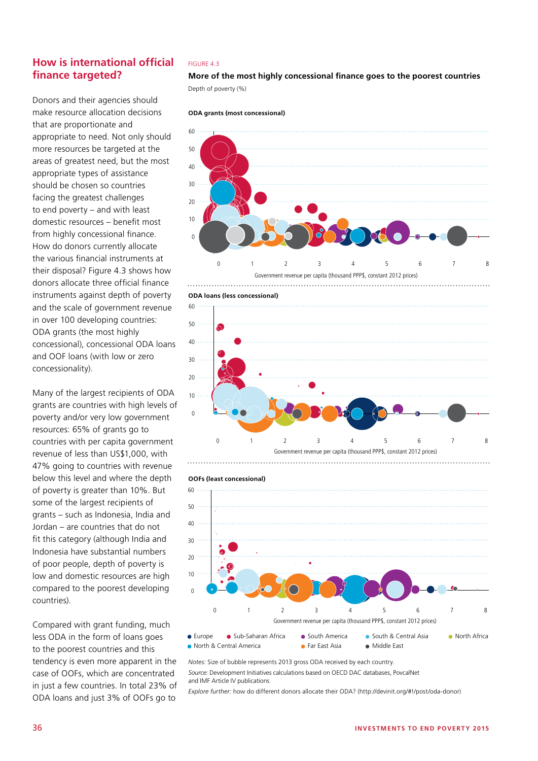# **How is international official finance targeted?**

Donors and their agencies should make resource allocation decisions that are proportionate and appropriate to need. Not only should more resources be targeted at the areas of greatest need, but the most appropriate types of assistance should be chosen so countries facing the greatest challenges to end poverty – and with least domestic resources – benefit most from highly concessional finance. How do donors currently allocate the various financial instruments at their disposal? Figure 4.3 shows how donors allocate three official finance instruments against depth of poverty and the scale of government revenue in over 100 developing countries: ODA grants (the most highly concessional), concessional ODA loans and OOF loans (with low or zero concessionality).

Many of the largest recipients of ODA grants are countries with high levels of poverty and/or very low government resources: 65% of grants go to countries with per capita government revenue of less than US\$1,000, with 47% going to countries with revenue below this level and where the depth of poverty is greater than 10%. But some of the largest recipients of grants – such as Indonesia, India and Jordan – are countries that do not fit this category (although India and Indonesia have substantial numbers of poor people, depth of poverty is low and domestic resources are high compared to the poorest developing countries).

Compared with grant funding, much less ODA in the form of loans goes to the poorest countries and this tendency is even more apparent in the case of OOFs, which are concentrated in just a few countries. In total 23% of ODA loans and just 3% of OOFs go to

#### FIGURE 4.3

**More of the most highly concessional finance goes to the poorest countries** Depth of poverty (%)









0 1 2 3 4 5 6 7 8



60 *Notes:* Size of bubble represents 2013 gross ODA received by each country.

and IMF Article IV publications *Source:* Development Initiatives calculations based on OECD DAC databases, PovcalNet

*Explore further:* how do different donors allocate their ODA? (http://devinit.org/#!/post/oda-donor)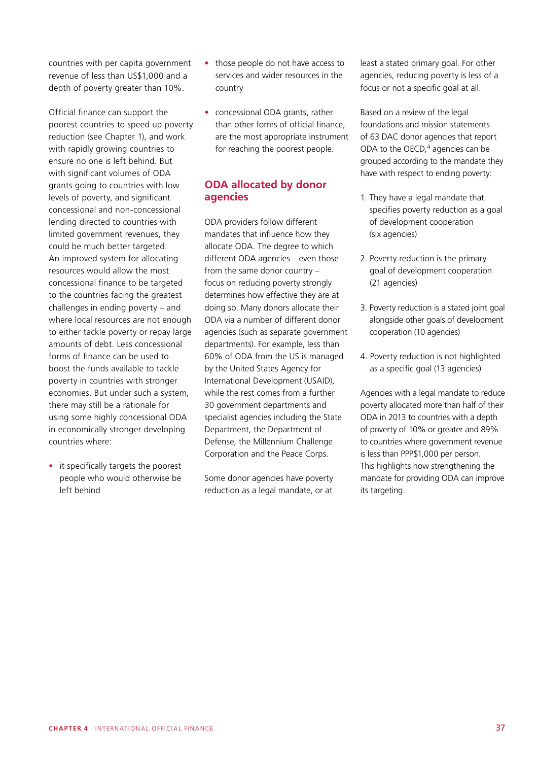countries with per capita government revenue of less than US\$1,000 and a depth of poverty greater than 10%.

Official finance can support the poorest countries to speed up poverty reduction (see Chapter 1), and work with rapidly growing countries to ensure no one is left behind. But with significant volumes of ODA grants going to countries with low levels of poverty, and significant concessional and non-concessional lending directed to countries with limited government revenues, they could be much better targeted. An improved system for allocating resources would allow the most concessional finance to be targeted to the countries facing the greatest challenges in ending poverty – and where local resources are not enough to either tackle poverty or repay large amounts of debt. Less concessional forms of finance can be used to boost the funds available to tackle poverty in countries with stronger economies. But under such a system, there may still be a rationale for using some highly concessional ODA in economically stronger developing countries where:

• it specifically targets the poorest people who would otherwise be left behind

- those people do not have access to services and wider resources in the country
- concessional ODA grants, rather than other forms of official finance, are the most appropriate instrument for reaching the poorest people.

# **ODA allocated by donor agencies**

ODA providers follow different mandates that influence how they allocate ODA. The degree to which different ODA agencies – even those from the same donor country – focus on reducing poverty strongly determines how effective they are at doing so. Many donors allocate their ODA via a number of different donor agencies (such as separate government departments). For example, less than 60% of ODA from the US is managed by the United States Agency for International Development (USAID), while the rest comes from a further 30 government departments and specialist agencies including the State Department, the Department of Defense, the Millennium Challenge Corporation and the Peace Corps.

Some donor agencies have poverty reduction as a legal mandate, or at

least a stated primary goal. For other agencies, reducing poverty is less of a focus or not a specific goal at all.

Based on a review of the legal foundations and mission statements of 63 DAC donor agencies that report ODA to the OECD, $4$  agencies can be grouped according to the mandate they have with respect to ending poverty:

- 1. They have a legal mandate that specifies poverty reduction as a goal of development cooperation (six agencies)
- 2. Poverty reduction is the primary goal of development cooperation (21 agencies)
- 3. Poverty reduction is a stated joint goal alongside other goals of development cooperation (10 agencies)
- 4. Poverty reduction is not highlighted as a specific goal (13 agencies)

Agencies with a legal mandate to reduce poverty allocated more than half of their ODA in 2013 to countries with a depth of poverty of 10% or greater and 89% to countries where government revenue is less than PPP\$1,000 per person. This highlights how strengthening the mandate for providing ODA can improve its targeting.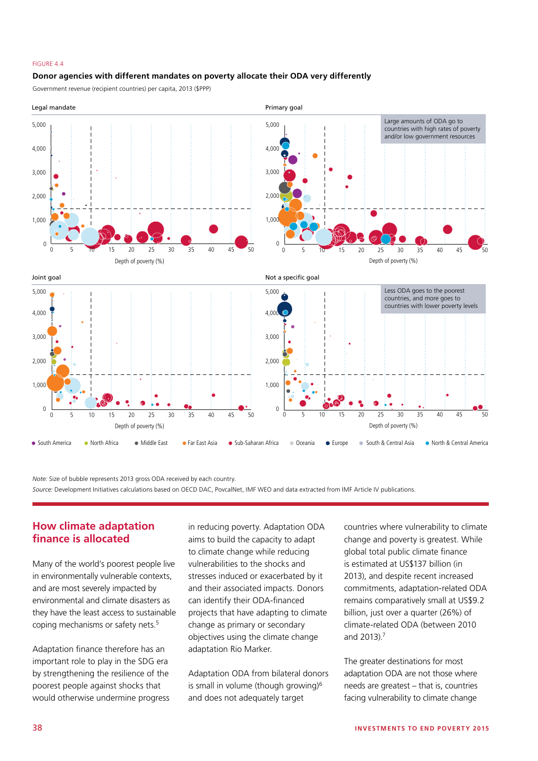#### FIGURE 4.4

#### **Donor agencies with different mandates on poverty allocate their ODA very differently**

Government revenue (recipient countries) per capita, 2013 (\$PPP)



*Note:* Size of bubble represents 2013 gross ODA received by each country. *Source:* Development Initiatives calculations based on OECD DAC, PovcalNet, IMF WEO and data extracted from IMF Article IV publications.

## **How climate adaptation finance is allocated**

Many of the world's poorest people live in environmentally vulnerable contexts, and are most severely impacted by environmental and climate disasters as they have the least access to sustainable coping mechanisms or safety nets.5

Adaptation finance therefore has an important role to play in the SDG era by strengthening the resilience of the poorest people against shocks that would otherwise undermine progress in reducing poverty. Adaptation ODA aims to build the capacity to adapt to climate change while reducing vulnerabilities to the shocks and stresses induced or exacerbated by it and their associated impacts. Donors can identify their ODA-financed projects that have adapting to climate change as primary or secondary objectives using the climate change adaptation Rio Marker.

Adaptation ODA from bilateral donors is small in volume (though growing)<sup>6</sup> and does not adequately target

countries where vulnerability to climate change and poverty is greatest. While global total public climate finance is estimated at US\$137 billion (in 2013), and despite recent increased commitments, adaptation-related ODA remains comparatively small at US\$9.2 billion, just over a quarter (26%) of climate-related ODA (between 2010 and 2013).7

The greater destinations for most adaptation ODA are not those where needs are greatest – that is, countries facing vulnerability to climate change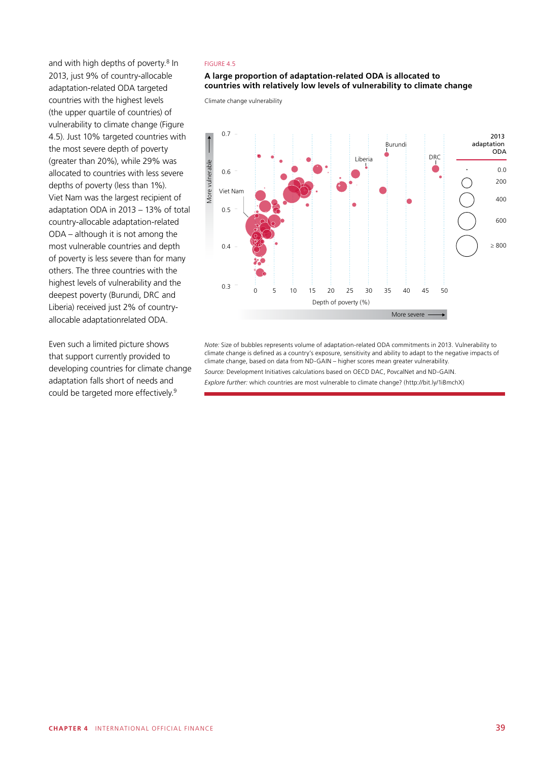and with high depths of poverty.<sup>8</sup> In 2013, just 9% of country-allocable adaptation-related ODA targeted countries with the highest levels (the upper quartile of countries) of vulnerability to climate change (Figure 4.5). Just 10% targeted countries with the most severe depth of poverty (greater than 20%), while 29% was allocated to countries with less severe depths of poverty (less than 1%). Viet Nam was the largest recipient of adaptation ODA in 2013 – 13% of total country-allocable adaptation-related ODA – although it is not among the most vulnerable countries and depth of poverty is less severe than for many others. The three countries with the highest levels of vulnerability and the deepest poverty (Burundi, DRC and Liberia) received just 2% of countryallocable adaptationrelated ODA.

Even such a limited picture shows that support currently provided to developing countries for climate change adaptation falls short of needs and could be targeted more effectively.9

#### FIGURE 4.5

#### **A large proportion of adaptation-related ODA is allocated to countries with relatively low levels of vulnerability to climate change**

Climate change vulnerability



*Note:* Size of bubbles represents volume of adaptation-related ODA commitments in 2013. Vulnerability to climate change is defined as a country's exposure, sensitivity and ability to adapt to the negative impacts of climate change, based on data from ND-GAIN – higher scores mean greater vulnerability.

*Source:* Development Initiatives calculations based on OECD DAC, PovcalNet and ND-GAIN.

*Explore further:* which countries are most vulnerable to climate change? (http://bit.ly/1iBmchX)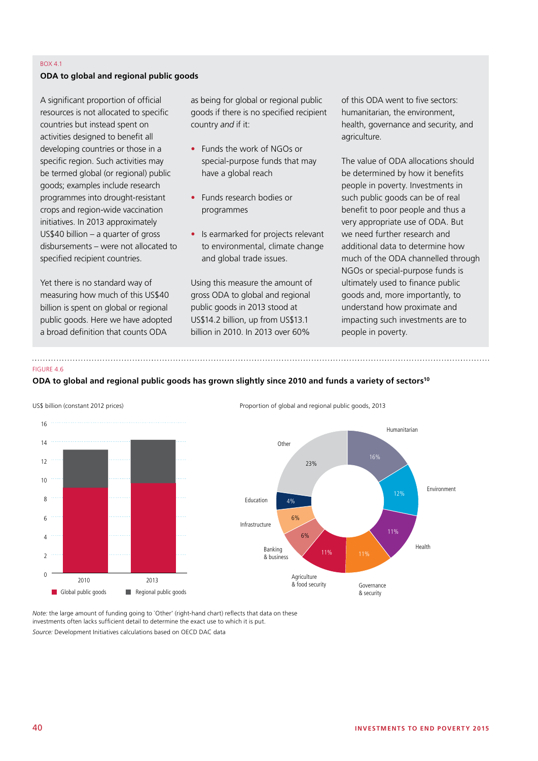#### BOX 4.1

#### **ODA to global and regional public goods**

A significant proportion of official resources is not allocated to specific countries but instead spent on activities designed to benefit all developing countries or those in a specific region. Such activities may be termed global (or regional) public goods; examples include research programmes into drought-resistant crops and region-wide vaccination initiatives. In 2013 approximately US\$40 billion – a quarter of gross disbursements – were not allocated to specified recipient countries.

Yet there is no standard way of measuring how much of this US\$40 billion is spent on global or regional public goods. Here we have adopted a broad definition that counts ODA

as being for global or regional public goods if there is no specified recipient country *and* if it:

- Funds the work of NGOs or special-purpose funds that may have a global reach
- Funds research bodies or programmes
- Is earmarked for projects relevant to environmental, climate change and global trade issues.

Using this measure the amount of gross ODA to global and regional public goods in 2013 stood at US\$14.2 billion, up from US\$13.1 billion in 2010. In 2013 over 60%

of this ODA went to five sectors: humanitarian, the environment, health, governance and security, and agriculture.

The value of ODA allocations should be determined by how it benefits people in poverty. Investments in such public goods can be of real benefit to poor people and thus a very appropriate use of ODA. But we need further research and additional data to determine how much of the ODA channelled through NGOs or special-purpose funds is ultimately used to finance public goods and, more importantly, to understand how proximate and impacting such investments are to people in poverty.

#### FIGURE 4.6

#### **ODA to global and regional public goods has grown slightly since 2010 and funds a variety of sectors10**





*Note:* the large amount of funding going to 'Other' (right-hand chart) reflects that data on these investments often lacks sufficient detail to determine the exact use to which it is put. *Source:* Development Initiatives calculations based on OECD DAC data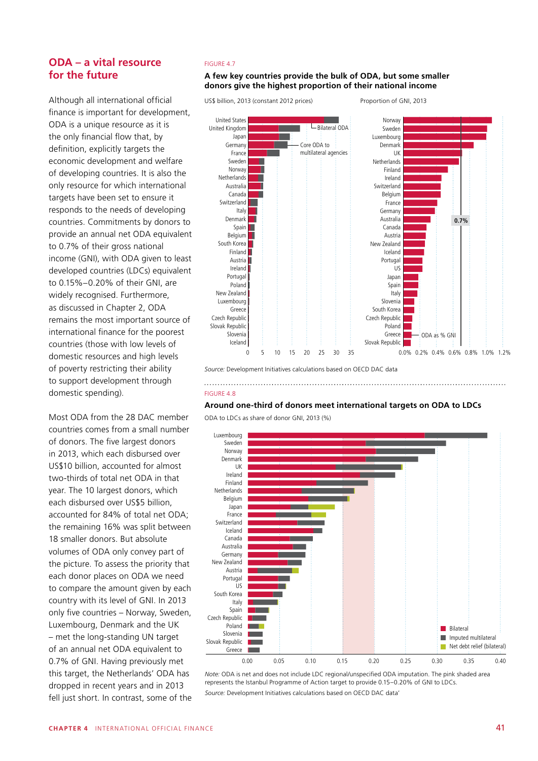## **ODA – a vital resource for the future**

Although all international official finance is important for development, ODA is a unique resource as it is the only financial flow that, by definition, explicitly targets the economic development and welfare of developing countries. It is also the only resource for which international targets have been set to ensure it responds to the needs of developing countries. Commitments by donors to provide an annual net ODA equivalent to 0.7% of their gross national income (GNI), with ODA given to least developed countries (LDCs) equivalent to 0.15%–0.20% of their GNI, are widely recognised. Furthermore, as discussed in Chapter 2, ODA remains the most important source of international finance for the poorest countries (those with low levels of domestic resources and high levels of poverty restricting their ability to support development through domestic spending).

Most ODA from the 28 DAC member countries comes from a small number of donors. The five largest donors in 2013, which each disbursed over US\$10 billion, accounted for almost two-thirds of total net ODA in that year. The 10 largest donors, which each disbursed over US\$5 billion, accounted for 84% of total net ODA; the remaining 16% was split between 18 smaller donors. But absolute volumes of ODA only convey part of the picture. To assess the priority that each donor places on ODA we need to compare the amount given by each country with its level of GNI. In 2013 only five countries – Norway, Sweden, Luxembourg, Denmark and the UK – met the long-standing UN target of an annual net ODA equivalent to 0.7% of GNI. Having previously met this target, the Netherlands' ODA has dropped in recent years and in 2013 fell just short. In contrast, some of the

#### FIGURE 4.7

#### **A few key countries provide the bulk of ODA, but some smaller donors give the highest proportion of their national income**

US\$ billion, 2013 (constant 2012 prices)

Proportion of GNI, 2013



*Source:* Development Initiatives calculations based on OECD DAC data

# FIGURE 4.8

#### **Around one-third of donors meet international targets on ODA to LDCs**

ODA to LDCs as share of donor GNI, 2013 (%)



*Note:* ODA is net and does not include LDC regional/unspecified ODA imputation. The pink shaded area represents the Istanbul Programme of Action target to provide 0.15–0.20% of GNI to LDCs. *Source:* Development Initiatives calculations based on OECD DAC data'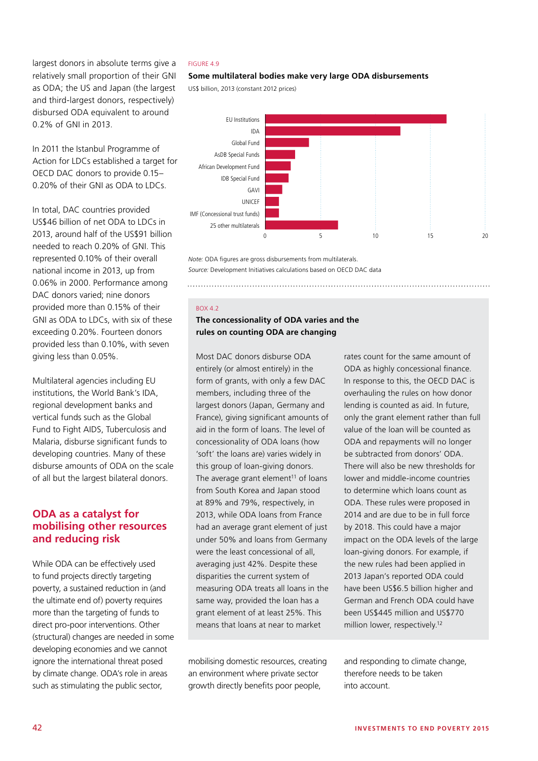largest donors in absolute terms give a relatively small proportion of their GNI as ODA; the US and Japan (the largest and third-largest donors, respectively) disbursed ODA equivalent to around 0.2% of GNI in 2013.

In 2011 the Istanbul Programme of Action for LDCs established a target for OECD DAC donors to provide 0.15– 0.20% of their GNI as ODA to LDCs.

In total, DAC countries provided US\$46 billion of net ODA to LDCs in 2013, around half of the US\$91 billion needed to reach 0.20% of GNI. This represented 0.10% of their overall national income in 2013, up from 0.06% in 2000. Performance among DAC donors varied; nine donors provided more than 0.15% of their GNI as ODA to LDCs, with six of these exceeding 0.20%. Fourteen donors provided less than 0.10%, with seven giving less than 0.05%.

Multilateral agencies including EU institutions, the World Bank's IDA, regional development banks and vertical funds such as the Global Fund to Fight AIDS, Tuberculosis and Malaria, disburse significant funds to developing countries. Many of these disburse amounts of ODA on the scale of all but the largest bilateral donors.

## **ODA as a catalyst for mobilising other resources and reducing risk**

While ODA can be effectively used to fund projects directly targeting poverty, a sustained reduction in (and the ultimate end of) poverty requires more than the targeting of funds to direct pro-poor interventions. Other (structural) changes are needed in some developing economies and we cannot ignore the international threat posed by climate change. ODA's role in areas such as stimulating the public sector,

#### FIGURE 4.9

#### **Some multilateral bodies make very large ODA disbursements**

US\$ billion, 2013 (constant 2012 prices)



*Note:* ODA figures are gross disbursements from multilaterals. *Source:* Development Initiatives calculations based on OECD DAC data

#### BOX 4.2

## **The concessionality of ODA varies and the rules on counting ODA are changing**

Most DAC donors disburse ODA entirely (or almost entirely) in the form of grants, with only a few DAC members, including three of the largest donors (Japan, Germany and France), giving significant amounts of aid in the form of loans. The level of concessionality of ODA loans (how 'soft' the loans are) varies widely in this group of loan-giving donors. The average grant element $11$  of loans from South Korea and Japan stood at 89% and 79%, respectively, in 2013, while ODA loans from France had an average grant element of just under 50% and loans from Germany were the least concessional of all, averaging just 42%. Despite these disparities the current system of measuring ODA treats all loans in the same way, provided the loan has a grant element of at least 25%. This means that loans at near to market

mobilising domestic resources, creating an environment where private sector growth directly benefits poor people,

rates count for the same amount of ODA as highly concessional finance. In response to this, the OECD DAC is overhauling the rules on how donor lending is counted as aid. In future, only the grant element rather than full value of the loan will be counted as ODA and repayments will no longer be subtracted from donors' ODA. There will also be new thresholds for lower and middle-income countries to determine which loans count as ODA. These rules were proposed in 2014 and are due to be in full force by 2018. This could have a major impact on the ODA levels of the large loan-giving donors. For example, if the new rules had been applied in 2013 Japan's reported ODA could have been US\$6.5 billion higher and German and French ODA could have been US\$445 million and US\$770 million lower, respectively.<sup>12</sup>

and responding to climate change, therefore needs to be taken into account.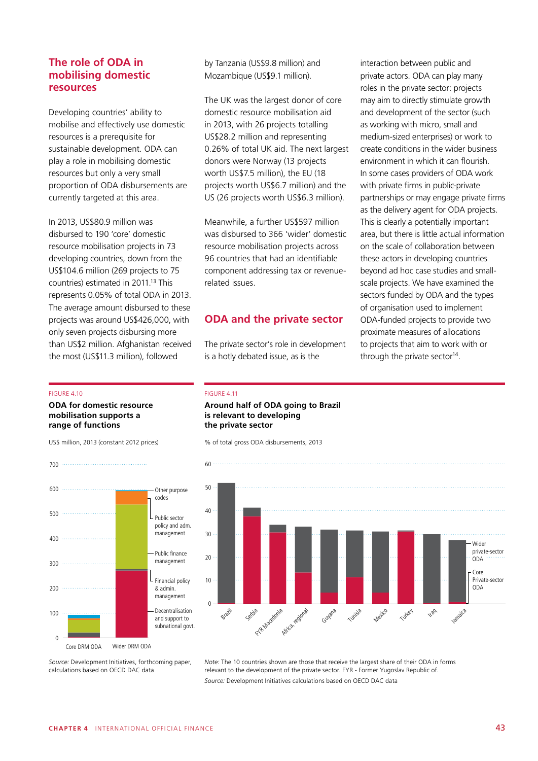## **The role of ODA in mobilising domestic resources**

Developing countries' ability to mobilise and effectively use domestic resources is a prerequisite for sustainable development. ODA can play a role in mobilising domestic resources but only a very small proportion of ODA disbursements are currently targeted at this area.

In 2013, US\$80.9 million was disbursed to 190 'core' domestic resource mobilisation projects in 73 developing countries, down from the US\$104.6 million (269 projects to 75 countries) estimated in 2011.13 This represents 0.05% of total ODA in 2013. The average amount disbursed to these projects was around US\$426,000, with only seven projects disbursing more than US\$2 million. Afghanistan received the most (US\$11.3 million), followed

#### FIGURE 4.10

700

#### **ODA for domestic resource mobilisation supports a range of functions**

US\$ million, 2013 (constant 2012 prices)



by Tanzania (US\$9.8 million) and Mozambique (US\$9.1 million).

The UK was the largest donor of core domestic resource mobilisation aid in 2013, with 26 projects totalling US\$28.2 million and representing 0.26% of total UK aid. The next largest donors were Norway (13 projects worth US\$7.5 million), the EU (18 projects worth US\$6.7 million) and the US (26 projects worth US\$6.3 million).

Meanwhile, a further US\$597 million was disbursed to 366 'wider' domestic resource mobilisation projects across 96 countries that had an identifiable component addressing tax or revenuerelated issues.

## **ODA and the private sector**

The private sector's role in development is a hotly debated issue, as is the

interaction between public and private actors. ODA can play many roles in the private sector: projects may aim to directly stimulate growth and development of the sector (such as working with micro, small and medium-sized enterprises) or work to create conditions in the wider business environment in which it can flourish. In some cases providers of ODA work with private firms in public-private partnerships or may engage private firms as the delivery agent for ODA projects. This is clearly a potentially important area, but there is little actual information on the scale of collaboration between these actors in developing countries beyond ad hoc case studies and smallscale projects. We have examined the sectors funded by ODA and the types of organisation used to implement ODA-funded projects to provide two proximate measures of allocations to projects that aim to work with or through the private sector<sup>14</sup>.

#### FIGURE 4.11

## **Around half of ODA going to Brazil is relevant to developing the private sector**

% of total gross ODA disbursements, 2013



*Source:* Development Initiatives, forthcoming paper, calculations based on OECD DAC data

*Note:* The 10 countries shown are those that receive the largest share of their ODA in forms relevant to the development of the private sector. FYR - Former Yugoslav Republic of. *Source:* Development Initiatives calculations based on OECD DAC data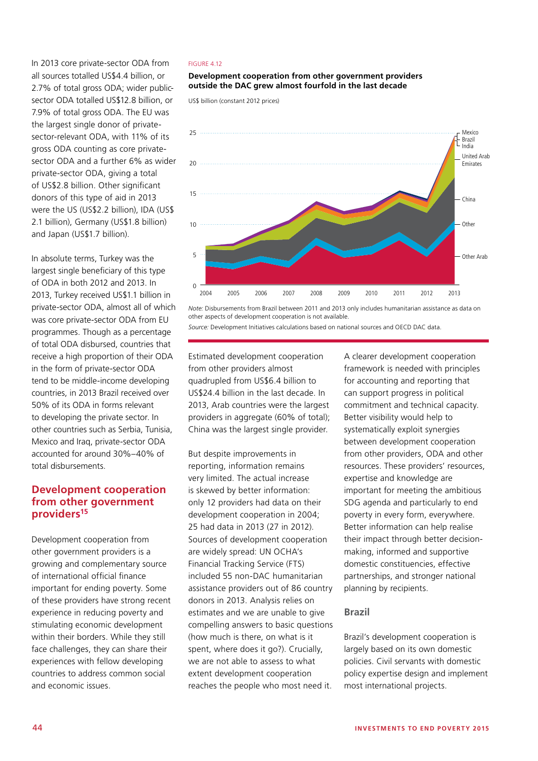In 2013 core private-sector ODA from all sources totalled US\$4.4 billion, or 2.7% of total gross ODA; wider publicsector ODA totalled US\$12.8 billion, or 7.9% of total gross ODA. The EU was the largest single donor of privatesector-relevant ODA, with 11% of its gross ODA counting as core privatesector ODA and a further 6% as wider private-sector ODA, giving a total of US\$2.8 billion. Other significant donors of this type of aid in 2013 were the US (US\$2.2 billion), IDA (US\$ 2.1 billion), Germany (US\$1.8 billion) and Japan (US\$1.7 billion).

In absolute terms, Turkey was the largest single beneficiary of this type of ODA in both 2012 and 2013. In 2013, Turkey received US\$1.1 billion in private-sector ODA, almost all of which was core private-sector ODA from EU programmes. Though as a percentage of total ODA disbursed, countries that receive a high proportion of their ODA in the form of private-sector ODA tend to be middle-income developing countries, in 2013 Brazil received over 50% of its ODA in forms relevant to developing the private sector. In other countries such as Serbia, Tunisia, Mexico and Iraq, private-sector ODA accounted for around 30%–40% of total disbursements.

## **Development cooperation from other government providers15**

Development cooperation from other government providers is a growing and complementary source of international official finance important for ending poverty. Some of these providers have strong recent experience in reducing poverty and stimulating economic development within their borders. While they still face challenges, they can share their experiences with fellow developing countries to address common social and economic issues.

#### FIGURE 4.12

#### **Development cooperation from other government providers outside the DAC grew almost fourfold in the last decade**

US\$ billion (constant 2012 prices)



*Note:* Disbursements from Brazil between 2011 and 2013 only includes humanitarian assistance as data on other aspects of development cooperation is not available.

*Source:* Development Initiatives calculations based on national sources and OECD DAC data.

Estimated development cooperation from other providers almost quadrupled from US\$6.4 billion to US\$24.4 billion in the last decade. In 2013, Arab countries were the largest providers in aggregate (60% of total); China was the largest single provider.

But despite improvements in reporting, information remains very limited. The actual increase is skewed by better information: only 12 providers had data on their development cooperation in 2004; 25 had data in 2013 (27 in 2012). Sources of development cooperation are widely spread: UN OCHA's Financial Tracking Service (FTS) included 55 non-DAC humanitarian assistance providers out of 86 country donors in 2013. Analysis relies on estimates and we are unable to give compelling answers to basic questions (how much is there, on what is it spent, where does it go?). Crucially, we are not able to assess to what extent development cooperation reaches the people who most need it.

A clearer development cooperation framework is needed with principles for accounting and reporting that can support progress in political commitment and technical capacity. Better visibility would help to systematically exploit synergies between development cooperation from other providers, ODA and other resources. These providers' resources, expertise and knowledge are important for meeting the ambitious SDG agenda and particularly to end poverty in every form, everywhere. Better information can help realise their impact through better decisionmaking, informed and supportive domestic constituencies, effective partnerships, and stronger national planning by recipients.

#### **Brazil**

Brazil's development cooperation is largely based on its own domestic policies. Civil servants with domestic policy expertise design and implement most international projects.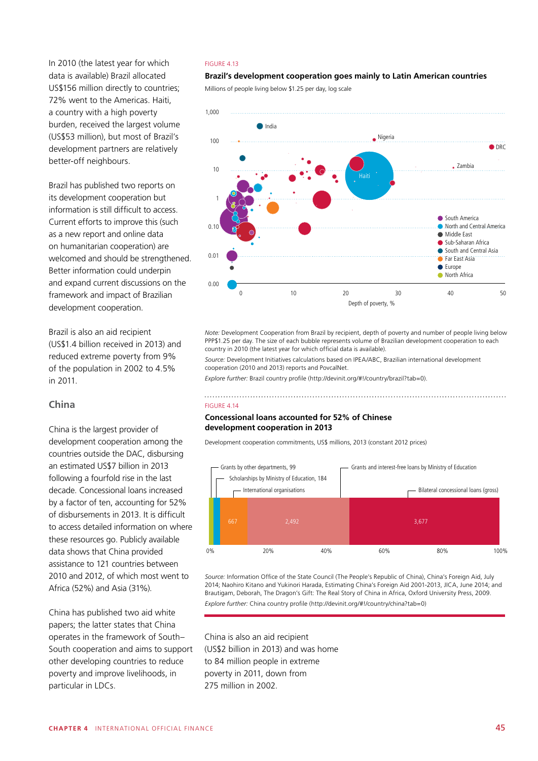In 2010 (the latest year for which data is available) Brazil allocated US\$156 million directly to countries; 72% went to the Americas. Haiti, a country with a high poverty burden, received the largest volume (US\$53 million), but most of Brazil's development partners are relatively better-off neighbours.

Brazil has published two reports on its development cooperation but information is still difficult to access. Current efforts to improve this (such as a new report and online data on humanitarian cooperation) are welcomed and should be strengthened. Better information could underpin and expand current discussions on the framework and impact of Brazilian development cooperation.

Brazil is also an aid recipient (US\$1.4 billion received in 2013) and reduced extreme poverty from 9% of the population in 2002 to 4.5% in 2011.

## **China**

China is the largest provider of development cooperation among the countries outside the DAC, disbursing an estimated US\$7 billion in 2013 following a fourfold rise in the last decade. Concessional loans increased by a factor of ten, accounting for 52% of disbursements in 2013. It is difficult to access detailed information on where these resources go. Publicly available data shows that China provided assistance to 121 countries between 2010 and 2012, of which most went to Africa (52%) and Asia (31%).

China has published two aid white papers; the latter states that China operates in the framework of South– South cooperation and aims to support other developing countries to reduce poverty and improve livelihoods, in particular in LDCs.

#### FIGURE 4.13

## Brazil's development cooperation goes mainly to Latin American countries

Millions of people living below \$1.25 per day, log scale



*Note:* Development Cooperation from Brazil by recipient, depth of poverty and number of people living below PPP\$1.25 per day. The size of each bubble represents volume of Brazilian development cooperation to each country in 2010 (the latest year for which official data is available).

*Source:* Development Initiatives calculations based on IPEA/ABC, Brazilian international development cooperation (2010 and 2013) reports and PovcalNet.

*Explore further:* Brazil country profile (http://devinit.org/#!/country/brazil?tab=0).

#### FIGURE 4.14

#### **Concessional loans accounted for 52% of Chinese development cooperation in 2013**

Development cooperation commitments, US\$ millions, 2013 (constant 2012 prices)



*Source:* Information Office of the State Council (The People's Republic of China), China's Foreign Aid, July 2014; Naohiro Kitano and Yukinori Harada, Estimating China's Foreign Aid 2001-2013, JICA, June 2014; and Brautigam, Deborah, The Dragon's Gift: The Real Story of China in Africa, Oxford University Press, 2009. Explore further: China country profile (http://devinit.org/#!/country/china?tab=0)

China is also an aid recipient (US\$2 billion in 2013) and was home to 84 million people in extreme poverty in 2011, down from 275 million in 2002.

Interest subsidy for lines of credit, 12.78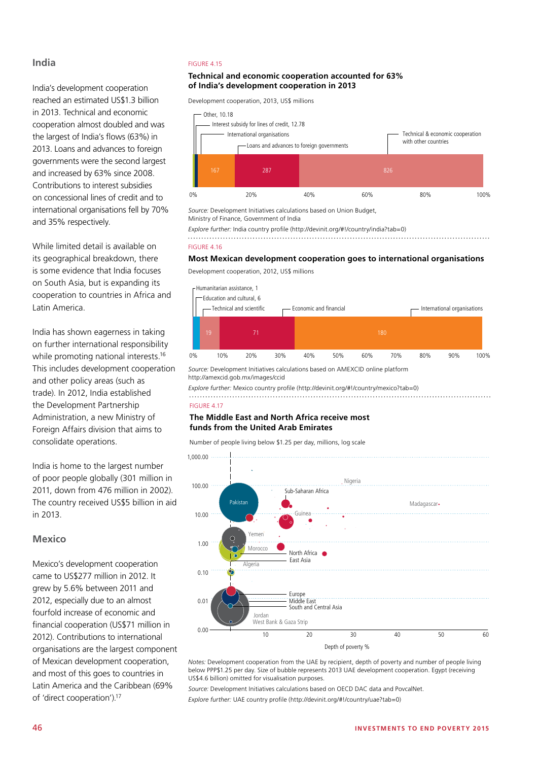## **India**

India's development cooperation reached an estimated US\$1.3 billion in 2013. Technical and economic cooperation almost doubled and was the largest of India's flows (63%) in 2013. Loans and advances to foreign governments were the second largest and increased by 63% since 2008. Contributions to interest subsidies on concessional lines of credit and to international organisations fell by 70% and 35% respectively.

While limited detail is available on its geographical breakdown, there is some evidence that India focuses on South Asia, but is expanding its cooperation to countries in Africa and Latin America.

India has shown eagerness in taking on further international responsibility while promoting national interests.<sup>16</sup> This includes development cooperation and other policy areas (such as trade). In 2012, India established the Development Partnership Administration, a new Ministry of Foreign Affairs division that aims to consolidate operations.

India is home to the largest number of poor people globally (301 million in 2011, down from 476 million in 2002). The country received US\$5 billion in aid in 2013.

## **Mexico**

Mexico's development cooperation came to US\$277 million in 2012. It grew by 5.6% between 2011 and 2012, especially due to an almost fourfold increase of economic and financial cooperation (US\$71 million in 2012). Contributions to international organisations are the largest component of Mexican development cooperation, and most of this goes to countries in Latin America and the Caribbean (69% of 'direct cooperation').17

#### FIGURE 4.15 **20% 100% 100% 100% 80% 100% 80% 100% 80% 100% 80% 100% 80% 100% 80% 100% 80% 100% 80% 100% 80% 100% 80% 100% 80% 100% 80% 100% 80% 100% 80% 100% 80% 100% 80% 100% 80% 100% 80% 100% 80% 100% 80% 100% 80% 100% 8** م.<br>محمد المساحة المساحة المساحة المساحة المساحة المساحة المساحة المساحة المساحة المساحة المساحة المساحة المساحة ا<br>وقد المساحة المساحة المساحة المساحة المساحة المساحة المساحة المساحة المساحة المساحة المساحة المساحة المساحة

#### **Technical and economic cooperation accounted for 63% of India's development cooperation in 2013**

Development cooperation, 2013, US\$ millions



167 287 826 *Source:* Development Initiatives calculations based on Union Budget, Ministry of Finance, Government of India

0% 20% 40% 60% 80% 100% *Explore further:* India country profile (http://devinit.org/#!/country/india?tab=0)

FIGURE 4.16

## **Most Mexican development cooperation goes to international organisations**

Therit Cooperation, 2012, OSP Thillions .<br>Development cooperation, 2012, US\$ millions



*Source:* Development Initiatives calculations based on AMEXCID online platform http://amexcid.gob.mx/images/ccid

*Explore further:* Mexico country profile (http://devinit.org/#!/country/mexico?tab=0)

#### FIGURE 4.17

#### **The Middle East and North Africa receive most funds from the United Arab Emirates**

Number of people living below \$1.25 per day, millions, log scale



*Notes:* Development cooperation from the UAE by recipient, depth of poverty and number of people living below PPP\$1.25 per day. Size of bubble represents 2013 UAE development cooperation. Egypt (receiving US\$4.6 billion) omitted for visualisation purposes.

*Source:* Development Initiatives calculations based on OECD DAC data and PovcalNet.

*Explore further:* UAE country profile (http://devinit.org/#!/country/uae?tab=0)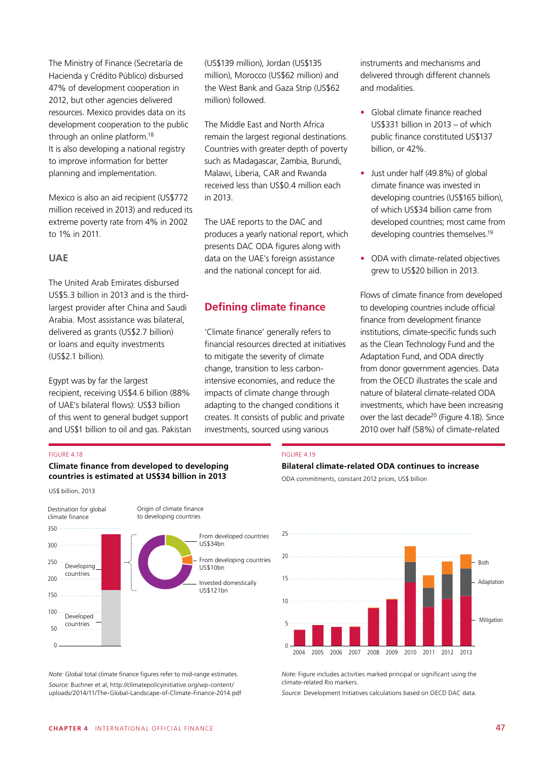The Ministry of Finance (Secretaría de Hacienda y Crédito Público) disbursed 47% of development cooperation in 2012, but other agencies delivered resources. Mexico provides data on its development cooperation to the public through an online platform.18 It is also developing a national registry to improve information for better planning and implementation.

Mexico is also an aid recipient (US\$772 million received in 2013) and reduced its extreme poverty rate from 4% in 2002 to 1% in 2011.

## **UAE**

The United Arab Emirates disbursed US\$5.3 billion in 2013 and is the thirdlargest provider after China and Saudi Arabia. Most assistance was bilateral, delivered as grants (US\$2.7 billion) or loans and equity investments (US\$2.1 billion).

Egypt was by far the largest recipient, receiving US\$4.6 billion (88% of UAE's bilateral flows): US\$3 billion of this went to general budget support and US\$1 billion to oil and gas. Pakistan (US\$139 million), Jordan (US\$135 million), Morocco (US\$62 million) and the West Bank and Gaza Strip (US\$62 million) followed.

The Middle East and North Africa remain the largest regional destinations. Countries with greater depth of poverty such as Madagascar, Zambia, Burundi, Malawi, Liberia, CAR and Rwanda received less than US\$0.4 million each in 2013.

The UAE reports to the DAC and produces a yearly national report, which presents DAC ODA figures along with data on the UAE's foreign assistance and the national concept for aid.

# **Defining climate finance**

'Climate finance' generally refers to financial resources directed at initiatives to mitigate the severity of climate change, transition to less carbonintensive economies, and reduce the impacts of climate change through adapting to the changed conditions it creates. It consists of public and private investments, sourced using various

instruments and mechanisms and delivered through different channels and modalities.

- Global climate finance reached US\$331 billion in 2013 – of which public finance constituted US\$137 billion, or 42%.
- Just under half (49.8%) of global climate finance was invested in developing countries (US\$165 billion), of which US\$34 billion came from developed countries; most came from developing countries themselves.19
- ODA with climate-related objectives grew to US\$20 billion in 2013.

Flows of climate finance from developed to developing countries include official finance from development finance institutions, climate-specific funds such as the Clean Technology Fund and the Adaptation Fund, and ODA directly from donor government agencies. Data from the OECD illustrates the scale and nature of bilateral climate-related ODA investments, which have been increasing over the last decade<sup>20</sup> (Figure 4.18). Since 2010 over half (58%) of climate-related

#### FIGURE 4.18

#### **Climate finance from developed to developing countries is estimated at US\$34 billion in 2013**



*Note:* Global total climate finance figures refer to mid-range estimates. *Source:* Buchner et al; http://climatepolicyinitiative.org/wp-content/ uploads/2014/11/The-Global-Landscape-of-Climate-Finance-2014.pdf

#### FIGURE 4.19

#### **Bilateral climate-related ODA continues to increase**

ODA commitments, constant 2012 prices, US\$ billion



*Note:* Figure includes activities marked principal or significant using the climate-related Rio markers.

*Source:* Development Initiatives calculations based on OECD DAC data.